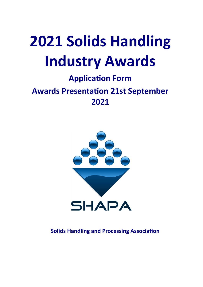# **2021 Solids Handling Industry Awards**

### **Application Form**

## **Awards Presentation 21st September 2021**



### **Solids Handling and Processing Association**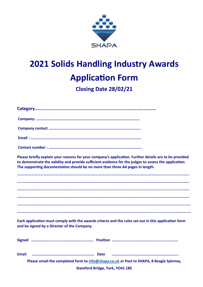

# **2021 Solids Handling Industry Awards Application Form**

**Closing Date 28/02/21**

**Please briefly explain your reasons for your company's application. Further details are to be provided to demonstrate the validity and provide sufficient evidence for the judges to assess the application. The supporting documentation should be no more than three A4 pages in length.** 

**…………………………………………………………………………………………………………………………………………………………… …………………………………………………………………………………………………………………………………………………………… …………………………………………………………………………………………………………………………………………………………… …………………………………………………………………………………………………………………………………………………………… ………………………………………….................................................................................................................... ...............................................................................................................................................................**

**Each application must comply with the awards criteria and the rules set out in this application form and be signed by a Director of the Company.** 

| Email |                                                                                         |
|-------|-----------------------------------------------------------------------------------------|
|       | Please email the completed form to info@shapa.co.uk or Post to SHAPA, 8 Beagle Spinney, |
|       | <b>Stamford Bridge, York, YO41 1BE</b>                                                  |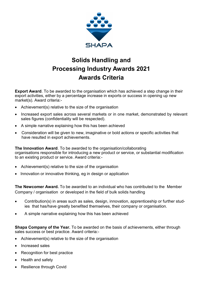

### **Solids Handling and Processing Industry Awards 2021 Awards Criteria**

**Export Award**. To be awarded to the organisation which has achieved a step change in their export activities, either by a percentage increase in exports or success in opening up new market(s). Award criteria:-

- Achievement(s) relative to the size of the organisation
- Increased export sales across several markets or in one market, demonstrated by relevant sales figures (confidentiality will be respected).
- A simple narrative explaining how this has been achieved
- Consideration will be given to new, imaginative or bold actions or specific activities that have resulted in export achievements.

**The Innovation Award**. To be awarded to the organisation/collaborating organisations responsible for introducing a new product or service, or substantial modification to an existing product or service. Award criteria:-

- Achievement(s) relative to the size of the organisation
- Innovation or innovative thinking, eg in design or application

**The Newcomer Award.** To be awarded to an individual who has contributed to the Member Company / organisation or developed in the field of bulk solids handling

- Contribution(s) in areas such as sales, design, innovation, apprenticeship or further studies that has/have greatly benefited themselves, their company or organisation.
- A simple narrative explaining how this has been achieved

**Shapa Company of the Year.** To be awarded on the basis of achievements, either through sales success or best practice. Award criteria:-

- Achievement(s) relative to the size of the organisation
- Increased sales
- Recognition for best practice
- Health and safety
- Resilience through Covid